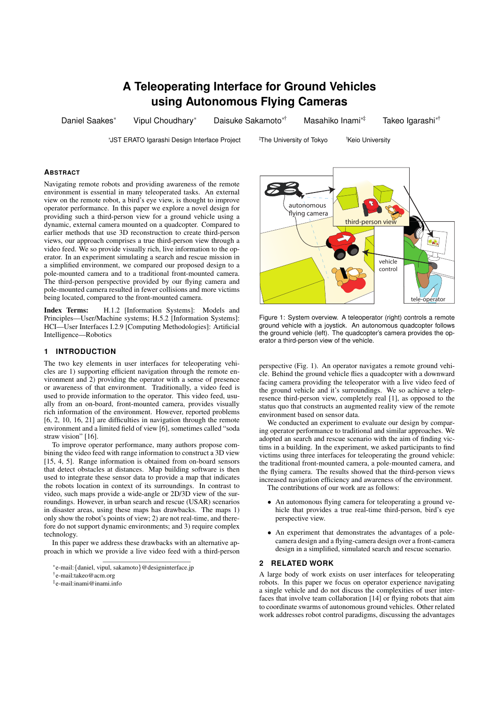# **A Teleoperating Interface for Ground Vehicles using Autonomous Flying Cameras**

Daniel Saakes<sup>\*</sup> Vipul Choudhary<sup>\*</sup> Daisuke Sakamoto<sup>\*†</sup> Masahiko Inami<sup>\*‡</sup> Takeo Igarashi<sup>\*†</sup>

⇤ JST ERATO Igarashi Design Interface Project ‡

The University of Tokyo †

Keio University

## **ABSTRACT**

Navigating remote robots and providing awareness of the remote environment is essential in many teleoperated tasks. An external view on the remote robot, a bird's eye view, is thought to improve operator performance. In this paper we explore a novel design for providing such a third-person view for a ground vehicle using a dynamic, external camera mounted on a quadcopter. Compared to earlier methods that use 3D reconstruction to create third-person views, our approach comprises a true third-person view through a video feed. We so provide visually rich, live information to the operator. In an experiment simulating a search and rescue mission in a simplified environment, we compared our proposed design to a pole-mounted camera and to a traditional front-mounted camera. The third-person perspective provided by our flying camera and pole-mounted camera resulted in fewer collisions and more victims being located, compared to the front-mounted camera.

Index Terms: H.1.2 [Information Systems]: Models and Principles—User/Machine systems; H.5.2 [Information Systems]: HCI—User Interfaces I.2.9 [Computing Methodologies]: Artificial Intelligence—Robotics

## **1 INTRODUCTION**

The two key elements in user interfaces for teleoperating vehicles are 1) supporting efficient navigation through the remote environment and 2) providing the operator with a sense of presence or awareness of that environment. Traditionally, a video feed is used to provide information to the operator. This video feed, usually from an on-board, front-mounted camera, provides visually rich information of the environment. However, reported problems [6, 2, 10, 16, 21] are difficulties in navigation through the remote environment and a limited field of view [6], sometimes called "soda straw vision" [16].

To improve operator performance, many authors propose combining the video feed with range information to construct a 3D view [15, 4, 5]. Range information is obtained from on-board sensors that detect obstacles at distances. Map building software is then used to integrate these sensor data to provide a map that indicates the robots location in context of its surroundings. In contrast to video, such maps provide a wide-angle or 2D/3D view of the surroundings. However, in urban search and rescue (USAR) scenarios in disaster areas, using these maps has drawbacks. The maps 1) only show the robot's points of view; 2) are not real-time, and therefore do not support dynamic environments; and 3) require complex technology.

In this paper we address these drawbacks with an alternative approach in which we provide a live video feed with a third-person



Figure 1: System overview. A teleoperator (right) controls a remote ground vehicle with a joystick. An autonomous quadcopter follows the ground vehicle (left). The quadcopter's camera provides the operator a third-person view of the vehicle.

perspective (Fig. 1). An operator navigates a remote ground vehicle. Behind the ground vehicle flies a quadcopter with a downward facing camera providing the teleoperator with a live video feed of the ground vehicle and it's surroundings. We so achieve a telepresence third-person view, completely real [1], as opposed to the status quo that constructs an augmented reality view of the remote environment based on sensor data.

We conducted an experiment to evaluate our design by comparing operator performance to traditional and similar approaches. We adopted an search and rescue scenario with the aim of finding victims in a building. In the experiment, we asked participants to find victims using three interfaces for teleoperating the ground vehicle: the traditional front-mounted camera, a pole-mounted camera, and the flying camera. The results showed that the third-person views increased navigation efficiency and awareness of the environment. The contributions of our work are as follows:

- An automonous flying camera for teleoperating a ground vehicle that provides a true real-time third-person, bird's eye perspective view.
- *•* An experiment that demonstrates the advantages of a polecamera design and a flying-camera design over a front-camera design in a simplified, simulated search and rescue scenario.

### **2 RELATED WORK**

A large body of work exists on user interfaces for teleoperating robots. In this paper we focus on operator experience navigating a single vehicle and do not discuss the complexities of user interfaces that involve team collaboration [14] or flying robots that aim to coordinate swarms of autonomous ground vehicles. Other related work addresses robot control paradigms, discussing the advantages

<sup>⇤</sup>e-mail:*{*daniel, vipul, sakamoto*}*@designinterface.jp

<sup>†</sup>e-mail:takeo@acm.org

<sup>‡</sup>e-mail:inami@inami.info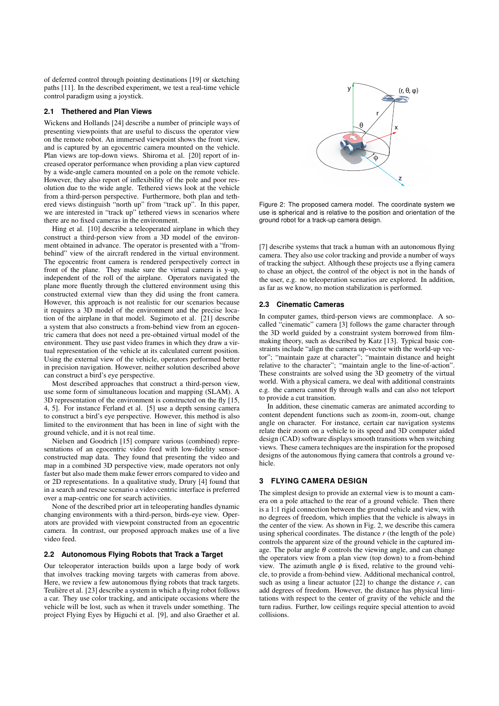of deferred control through pointing destinations [19] or sketching paths [11]. In the described experiment, we test a real-time vehicle control paradigm using a joystick.

#### **2.1 Thethered and Plan Views**

Wickens and Hollands [24] describe a number of principle ways of presenting viewpoints that are useful to discuss the operator view on the remote robot. An immersed viewpoint shows the front view, and is captured by an egocentric camera mounted on the vehicle. Plan views are top-down views. Shiroma et al. [20] report of increased operator performance when providing a plan view captured by a wide-angle camera mounted on a pole on the remote vehicle. However, they also report of inflexibility of the pole and poor resolution due to the wide angle. Tethered views look at the vehicle from a third-person perspective. Furthermore, both plan and tethered views distinguish "north up" from "track up". In this paper, we are interested in "track up" tethered views in scenarios where there are no fixed cameras in the environment.

Hing et al. [10] describe a teleoperated airplane in which they construct a third-person view from a 3D model of the environment obtained in advance. The operator is presented with a "frombehind" view of the aircraft rendered in the virtual environment. The egocentric front camera is rendered perspectively correct in front of the plane. They make sure the virtual camera is y-up, independent of the roll of the airplane. Operators navigated the plane more fluently through the cluttered environment using this constructed external view than they did using the front camera. However, this approach is not realistic for our scenarios because it requires a 3D model of the environment and the precise location of the airplane in that model. Sugimoto et al. [21] describe a system that also constructs a from-behind view from an egocentric camera that does not need a pre-obtained virtual model of the environment. They use past video frames in which they draw a virtual representation of the vehicle at its calculated current position. Using the external view of the vehicle, operators performed better in precision navigation. However, neither solution described above can construct a bird's eye perspective.

Most described approaches that construct a third-person view, use some form of simultaneous location and mapping (SLAM). A 3D representation of the environment is constructed on the fly [15, 4, 5]. For instance Ferland et al. [5] use a depth sensing camera to construct a bird's eye perspective. However, this method is also limited to the environment that has been in line of sight with the ground vehicle, and it is not real time.

Nielsen and Goodrich [15] compare various (combined) representations of an egocentric video feed with low-fidelity sensorconstructed map data. They found that presenting the video and map in a combined 3D perspective view, made operators not only faster but also made them make fewer errors compared to video and or 2D representations. In a qualitative study, Drury [4] found that in a search and rescue scenario a video centric interface is preferred over a map-centric one for search activities.

None of the described prior art in teleoperating handles dynamic changing environments with a third-person, birds-eye view. Operators are provided with viewpoint constructed from an egocentric camera. In contrast, our proposed approach makes use of a live video feed.

#### **2.2 Autonomous Flying Robots that Track a Target**

Our teleoperator interaction builds upon a large body of work that involves tracking moving targets with cameras from above. Here, we review a few autonomous flying robots that track targets. Teulière et al. [23] describe a system in which a flying robot follows a car. They use color tracking, and anticipate occasions where the vehicle will be lost, such as when it travels under something. The project Flying Eyes by Higuchi et al. [9], and also Graether et al.



Figure 2: The proposed camera model. The coordinate system we use is spherical and is relative to the position and orientation of the ground robot for a track-up camera design.

[7] describe systems that track a human with an autonomous flying camera. They also use color tracking and provide a number of ways of tracking the subject. Although these projects use a flying camera to chase an object, the control of the object is not in the hands of the user, e.g. no teleoperation scenarios are explored. In addition, as far as we know, no motion stabilization is performed.

#### **2.3 Cinematic Cameras**

In computer games, third-person views are commonplace. A socalled "cinematic" camera [3] follows the game character through the 3D world guided by a constraint system borrowed from filmmaking theory, such as described by Katz [13]. Typical basic constraints include "align the camera up-vector with the world-up vector"; "maintain gaze at character"; "maintain distance and height relative to the character"; "maintain angle to the line-of-action". These constraints are solved using the 3D geometry of the virtual world. With a physical camera, we deal with additional constraints e.g. the camera cannot fly through walls and can also not teleport to provide a cut transition.

In addition, these cinematic cameras are animated according to content dependent functions such as zoom-in, zoom-out, change angle on character. For instance, certain car navigation systems relate their zoom on a vehicle to its speed and 3D computer aided design (CAD) software displays smooth transitions when switching views. These camera techniques are the inspiration for the proposed designs of the autonomous flying camera that controls a ground vehicle.

# **3 FLYING CAMERA DESIGN**

The simplest design to provide an external view is to mount a camera on a pole attached to the rear of a ground vehicle. Then there is a 1:1 rigid connection between the ground vehicle and view, with no degrees of freedom, which implies that the vehicle is always in the center of the view. As shown in Fig. 2, we describe this camera using spherical coordinates. The distance *r* (the length of the pole) controls the apparent size of the ground vehicle in the captured image. The polar angle  $\theta$  controls the viewing angle, and can change the operators view from a plan view (top down) to a from-behind view. The azimuth angle  $\dot{\phi}$  is fixed, relative to the ground vehicle, to provide a from-behind view. Additional mechanical control, such as using a linear actuator  $[22]$  to change the distance  $r$ , can add degrees of freedom. However, the distance has physical limitations with respect to the center of gravity of the vehicle and the turn radius. Further, low ceilings require special attention to avoid collisions.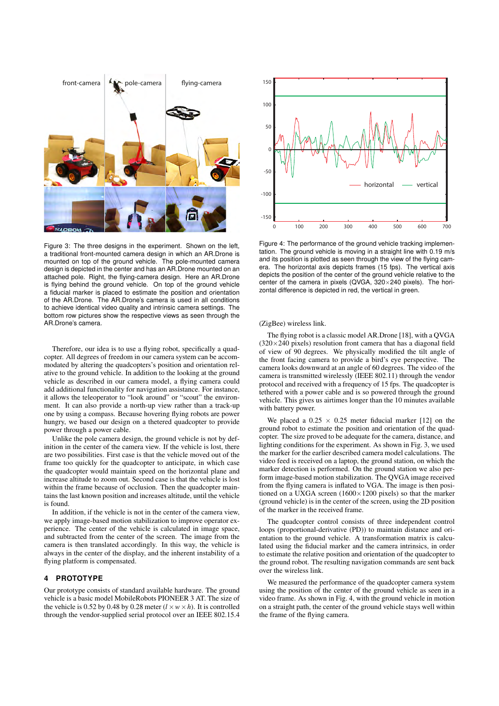

Figure 3: The three designs in the experiment. Shown on the left, a traditional front-mounted camera design in which an AR.Drone is mounted on top of the ground vehicle. The pole-mounted camera design is depicted in the center and has an AR.Drone mounted on an attached pole. Right, the flying-camera design. Here an AR.Drone is flying behind the ground vehicle. On top of the ground vehicle a fiducial marker is placed to estimate the position and orientation of the AR.Drone. The AR.Drone's camera is used in all conditions to achieve identical video quality and intrinsic camera settings. The bottom row pictures show the respective views as seen through the AR.Drone's camera.

Therefore, our idea is to use a flying robot, specifically a quadcopter. All degrees of freedom in our camera system can be accommodated by altering the quadcopters's position and orientation relative to the ground vehicle. In addition to the looking at the ground vehicle as described in our camera model, a flying camera could add additional functionality for navigation assistance. For instance, it allows the teleoperator to "look around" or "scout" the environment. It can also provide a north-up view rather than a track-up one by using a compass. Because hovering flying robots are power hungry, we based our design on a thetered quadcopter to provide power through a power cable.

Unlike the pole camera design, the ground vehicle is not by definition in the center of the camera view. If the vehicle is lost, there are two possibilities. First case is that the vehicle moved out of the frame too quickly for the quadcopter to anticipate, in which case the quadcopter would maintain speed on the horizontal plane and increase altitude to zoom out. Second case is that the vehicle is lost within the frame because of occlusion. Then the quadcopter maintains the last known position and increases altitude, until the vehicle is found.

In addition, if the vehicle is not in the center of the camera view, we apply image-based motion stabilization to improve operator experience. The center of the vehicle is calculated in image space, and subtracted from the center of the screen. The image from the camera is then translated accordingly. In this way, the vehicle is always in the center of the display, and the inherent instability of a flying platform is compensated.

## **4 PROTOTYPE**

Our prototype consists of standard available hardware. The ground vehicle is a basic model MobileRobots PIONEER 3 AT. The size of the vehicle is 0.52 by 0.48 by 0.28 meter ( $l \times w \times h$ ). It is controlled through the vendor-supplied serial protocol over an IEEE 802.15.4



Figure 4: The performance of the ground vehicle tracking implementation. The ground vehicle is moving in a straight line with 0.19 m/s and its position is plotted as seen through the view of the flying camera. The horizontal axis depicts frames (15 fps). The vertical axis depicts the position of the center of the ground vehicle relative to the center of the camera in pixels (QVGA,  $320 \times 240$  pixels). The horizontal difference is depicted in red, the vertical in green.

#### (ZigBee) wireless link.

The flying robot is a classic model AR.Drone [18], with a QVGA  $(320\times240$  pixels) resolution front camera that has a diagonal field of view of 90 degrees. We physically modified the tilt angle of the front facing camera to provide a bird's eye perspective. The camera looks downward at an angle of 60 degrees. The video of the camera is transmitted wirelessly (IEEE 802.11) through the vendor protocol and received with a frequency of 15 fps. The quadcopter is tethered with a power cable and is so powered through the ground vehicle. This gives us airtimes longer than the 10 minutes available with battery power.

We placed a  $0.25 \times 0.25$  meter fiducial marker [12] on the ground robot to estimate the position and orientation of the quadcopter. The size proved to be adequate for the camera, distance, and lighting conditions for the experiment. As shown in Fig. 3, we used the marker for the earlier described camera model calculations. The video feed is received on a laptop, the ground station, on which the marker detection is performed. On the ground station we also perform image-based motion stabilization. The QVGA image received from the flying camera is inflated to VGA. The image is then positioned on a UXGA screen ( $1600 \times 1200$  pixels) so that the marker (ground vehicle) is in the center of the screen, using the 2D position of the marker in the received frame.

The quadcopter control consists of three independent control loops (proportional-derivative (PD)) to maintain distance and orientation to the ground vehicle. A transformation matrix is calculated using the fiducial marker and the camera intrinsics, in order to estimate the relative position and orientation of the quadcopter to the ground robot. The resulting navigation commands are sent back over the wireless link.

We measured the performance of the quadcopter camera system using the position of the center of the ground vehicle as seen in a video frame. As shown in Fig. 4, with the ground vehicle in motion on a straight path, the center of the ground vehicle stays well within the frame of the flying camera.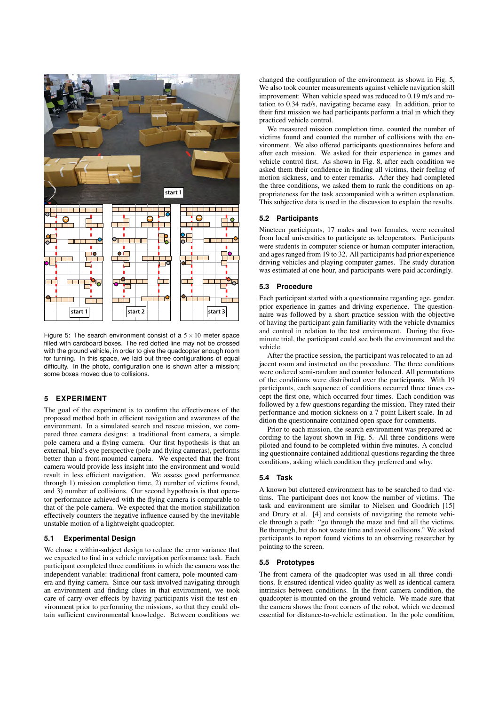

Figure 5: The search environment consist of a  $5 \times 10$  meter space filled with cardboard boxes. The red dotted line may not be crossed with the ground vehicle, in order to give the quadcopter enough room for turning. In this space, we laid out three configurations of equal difficulty. In the photo, configuration one is shown after a mission; some boxes moved due to collisions.

# **5 EXPERIMENT**

The goal of the experiment is to confirm the effectiveness of the proposed method both in efficient navigation and awareness of the environment. In a simulated search and rescue mission, we compared three camera designs: a traditional front camera, a simple pole camera and a flying camera. Our first hypothesis is that an external, bird's eye perspective (pole and flying cameras), performs better than a front-mounted camera. We expected that the front camera would provide less insight into the environment and would result in less efficient navigation. We assess good performance through 1) mission completion time, 2) number of victims found, and 3) number of collisions. Our second hypothesis is that operator performance achieved with the flying camera is comparable to that of the pole camera. We expected that the motion stabilization effectively counters the negative influence caused by the inevitable unstable motion of a lightweight quadcopter.

# **5.1 Experimental Design**

We chose a within-subject design to reduce the error variance that we expected to find in a vehicle navigation performance task. Each participant completed three conditions in which the camera was the independent variable: traditional front camera, pole-mounted camera and flying camera. Since our task involved navigating through an environment and finding clues in that environment, we took care of carry-over effects by having participants visit the test environment prior to performing the missions, so that they could obtain sufficient environmental knowledge. Between conditions we changed the configuration of the environment as shown in Fig. 5, We also took counter measurements against vehicle navigation skill improvement: When vehicle speed was reduced to 0.19 m/s and rotation to 0.34 rad/s, navigating became easy. In addition, prior to their first mission we had participants perform a trial in which they practiced vehicle control.

We measured mission completion time, counted the number of victims found and counted the number of collisions with the environment. We also offered participants questionnaires before and after each mission. We asked for their experience in games and vehicle control first. As shown in Fig. 8, after each condition we asked them their confidence in finding all victims, their feeling of motion sickness, and to enter remarks. After they had completed the three conditions, we asked them to rank the conditions on appropriateness for the task accompanied with a written explanation. This subjective data is used in the discussion to explain the results.

#### **5.2 Participants**

Nineteen participants, 17 males and two females, were recruited from local universities to participate as teleoperators. Participants were students in computer science or human computer interaction, and ages ranged from 19 to 32. All participants had prior experience driving vehicles and playing computer games. The study duration was estimated at one hour, and participants were paid accordingly.

#### **5.3 Procedure**

Each participant started with a questionnaire regarding age, gender, prior experience in games and driving experience. The questionnaire was followed by a short practice session with the objective of having the participant gain familiarity with the vehicle dynamics and control in relation to the test environment. During the fiveminute trial, the participant could see both the environment and the vehicle.

After the practice session, the participant was relocated to an adjacent room and instructed on the procedure. The three conditions were ordered semi-random and counter balanced. All permutations of the conditions were distributed over the participants. With 19 participants, each sequence of conditions occurred three times except the first one, which occurred four times. Each condition was followed by a few questions regarding the mission. They rated their performance and motion sickness on a 7-point Likert scale. In addition the questionnaire contained open space for comments.

Prior to each mission, the search environment was prepared according to the layout shown in Fig. 5. All three conditions were piloted and found to be completed within five minutes. A concluding questionnaire contained additional questions regarding the three conditions, asking which condition they preferred and why.

### **5.4 Task**

A known but cluttered environment has to be searched to find victims. The participant does not know the number of victims. The task and environment are similar to Nielsen and Goodrich [15] and Drury et al. [4] and consists of navigating the remote vehicle through a path: "go through the maze and find all the victims. Be thorough, but do not waste time and avoid collisions." We asked participants to report found victims to an observing researcher by pointing to the screen.

#### **5.5 Prototypes**

The front camera of the quadcopter was used in all three conditions. It ensured identical video quality as well as identical camera intrinsics between conditions. In the front camera condition, the quadcopter is mounted on the ground vehicle. We made sure that the camera shows the front corners of the robot, which we deemed essential for distance-to-vehicle estimation. In the pole condition,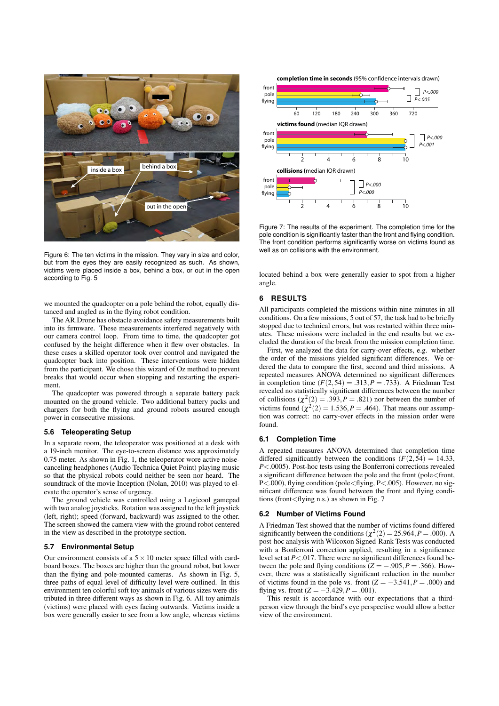

Figure 6: The ten victims in the mission. They vary in size and color, but from the eyes they are easily recognized as such. As shown, victims were placed inside a box, behind a box, or out in the open according to Fig. 5

we mounted the quadcopter on a pole behind the robot, equally distanced and angled as in the flying robot condition.

The AR.Drone has obstacle avoidance safety measurements built into its firmware. These measurements interfered negatively with our camera control loop. From time to time, the quadcopter got confused by the height difference when it flew over obstacles. In these cases a skilled operator took over control and navigated the quadcopter back into position. These interventions were hidden from the participant. We chose this wizard of Oz method to prevent breaks that would occur when stopping and restarting the experiment.

The quadcopter was powered through a separate battery pack mounted on the ground vehicle. Two additional battery packs and chargers for both the flying and ground robots assured enough power in consecutive missions.

#### **5.6 Teleoperating Setup**

In a separate room, the teleoperator was positioned at a desk with a 19-inch monitor. The eye-to-screen distance was approximately 0.75 meter. As shown in Fig. 1, the teleoperator wore active noisecanceling headphones (Audio Technica Quiet Point) playing music so that the physical robots could neither be seen nor heard. The soundtrack of the movie Inception (Nolan, 2010) was played to elevate the operator's sense of urgency.

The ground vehicle was controlled using a Logicool gamepad with two analog joysticks. Rotation was assigned to the left joystick (left, right); speed (forward, backward) was assigned to the other. The screen showed the camera view with the ground robot centered in the view as described in the prototype section.

#### **5.7 Environmental Setup**

Our environment consists of a  $5 \times 10$  meter space filled with cardboard boxes. The boxes are higher than the ground robot, but lower than the flying and pole-mounted cameras. As shown in Fig. 5, three paths of equal level of difficulty level were outlined. In this environment ten colorful soft toy animals of various sizes were distributed in three different ways as shown in Fig. 6. All toy animals (victims) were placed with eyes facing outwards. Victims inside a box were generally easier to see from a low angle, whereas victims





Figure 7: The results of the experiment. The completion time for the pole condition is significantly faster than the front and flying condition. The front condition performs significantly worse on victims found as well as on collisions with the environment.

located behind a box were generally easier to spot from a higher angle.

## **6 RESULTS**

All participants completed the missions within nine minutes in all conditions. On a few missions, 5 out of 57, the task had to be briefly stopped due to technical errors, but was restarted within three minutes. These missions were included in the end results but we excluded the duration of the break from the mission completion time.

First, we analyzed the data for carry-over effects, e.g. whether the order of the missions yielded significant differences. We ordered the data to compare the first, second and third missions. A repeated measures ANOVA determined no significant differences in completion time  $(F(2,54) = .313, P = .733)$ . A Friedman Test revealed no statistically significant differences between the number of collisions  $(\chi^2(2) = .393, P = .821)$  nor between the number of victims found  $(\chi^2(2) = 1.536, P = .464)$ . That means our assumption was correct: no carry-over effects in the mission order were found.

#### **6.1 Completion Time**

A repeated measures ANOVA determined that completion time differed significantly between the conditions  $(F(2, 54) = 14.33)$ , *P<.*0005). Post-hoc tests using the Bonferroni corrections revealed a significant difference between the pole and the front (pole*<*front, P*<*.000), flying condition (pole*<*flying, P*<*.005). However, no significant difference was found between the front and flying conditions (front*<*flying n.s.) as shown in Fig. 7

#### **6.2 Number of Victims Found**

A Friedman Test showed that the number of victims found differed significantly between the conditions ( $\chi^2(2) = 25.964$ ,  $P = .000$ ). A post-hoc analysis with Wilcoxon Signed-Rank Tests was conducted with a Bonferroni correction applied, resulting in a significance level set at *P<.*017*.* There were no significant differences found between the pole and flying conditions ( $Z = -.905, P = .366$ ). However, there was a statistically significant reduction in the number of victims found in the pole vs. front  $(Z = -3.541, P = .000)$  and flying vs. front  $(Z = -3.429, P = .001)$ .

This result is accordance with our expectations that a thirdperson view through the bird's eye perspective would allow a better view of the environment.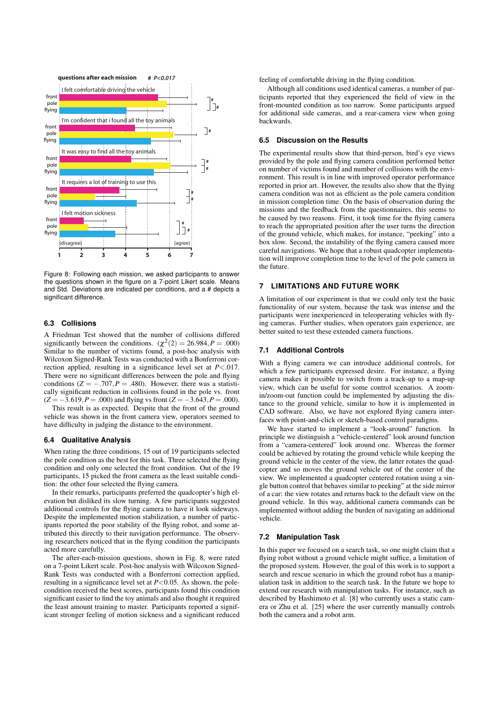

Figure 8: Following each mission, we asked participants to answer the questions shown in the figure on a 7-point Likert scale. Means and Std. Deviations are indicated per conditions, and a # depicts a significant difference.

#### **6.3 Collisions**

A Friedman Test showed that the number of collisions differed significantly between the conditions. ( $\chi^2(2) = 26.984, P = .000$ ) Similar to the number of victims found, a post-hoc analysis with Wilcoxon Signed-Rank Tests was conducted with a Bonferroni correction applied, resulting in a significance level set at *P<.*017. There were no significant differences between the pole and flying conditions  $(Z = -.707, P = .480)$ . However, there was a statistically significant reduction in collisions found in the pole vs. front  $(Z = -3.619, P = .000)$  and flying vs front  $(Z = -3.643, P = .000)$ .

This result is as expected. Despite that the front of the ground vehicle was shown in the front camera view, operators seemed to have difficulty in judging the distance to the environment.

#### **6.4 Qualitative Analysis**

When rating the three conditions, 15 out of 19 participants selected the pole condition as the best for this task. Three selected the flying condition and only one selected the front condition. Out of the 19 participants, 15 picked the front camera as the least suitable condition: the other four selected the flying camera.

In their remarks, participants preferred the quadcopter's high elevation but disliked its slow turning. A few participants suggested additional controls for the flying camera to have it look sideways. Despite the implemented motion stabilization, a number of participants reported the poor stability of the flying robot, and some attributed this directly to their navigation performance. The observing researchers noticed that in the flying condition the participants acted more carefully.

The after-each-mission questions, shown in Fig. 8, were rated on a 7-point Likert scale. Post-hoc analysis with Wilcoxon Signed-Rank Tests was conducted with a Bonferroni correction applied, resulting in a significance level set at *P<*0*.*05. As shown, the polecondition received the best scores, participants found this condition significant easier to find the toy animals and also thought it required the least amount training to master. Participants reported a significant stronger feeling of motion sickness and a significant reduced

feeling of comfortable driving in the flying condition.

Although all conditions used identical cameras, a number of participants reported that they experienced the field of view in the front-mounted condition as too narrow. Some participants argued for additional side cameras, and a rear-camera view when going backwards.

#### **6.5 Discussion on the Results**

The experimental results show that third-person, bird's eye views provided by the pole and flying camera condition performed better on number of victims found and number of collisions with the environment. This result is in line with improved operator performance reported in prior art. However, the results also show that the flying camera condition was not as efficient as the pole camera condition in mission completion time. On the basis of observation during the missions and the feedback from the questionnaires, this seems to be caused by two reasons. First, it took time for the flying camera to reach the appropriated position after the user turns the direction of the ground vehicle, which makes, for instance, "peeking" into a box slow. Second, the instability of the flying camera caused more careful navigations. We hope that a robust quadcopter implementation will improve completion time to the level of the pole camera in the future.

## **7 LIMITATIONS AND FUTURE WORK**

A limitation of our experiment is that we could only test the basic functionality of our system, because the task was intense and the participants were inexperienced in teleoperating vehicles with flying cameras. Further studies, when operators gain experience, are better suited to test these extended camera functions.

#### **7.1 Additional Controls**

With a flying camera we can introduce additional controls, for which a few participants expressed desire. For instance, a flying camera makes it possible to switch from a track-up to a map-up view, which can be useful for some control scenarios. A zoomin/zoom-out function could be implemented by adjusting the distance to the ground vehicle, similar to how it is implemented in CAD software. Also, we have not explored flying camera interfaces with point-and-click or sketch-based control paradigms.

We have started to implement a "look-around" function. In principle we distinguish a "vehicle-centered" look around function from a "camera-centered" look around one. Whereas the former could be achieved by rotating the ground vehicle while keeping the ground vehicle in the center of the view, the latter rotates the quadcopter and so moves the ground vehicle out of the center of the view. We implemented a quadcopter centered rotation using a single button control that behaves similar to peeking" at the side mirror of a car: the view rotates and returns back to the default view on the ground vehicle. In this way, additional camera commands can be implemented without adding the burden of navigating an additional vehicle.

#### **7.2 Manipulation Task**

In this paper we focused on a search task, so one might claim that a flying robot without a ground vehicle might suffice, a limitation of the proposed system. However, the goal of this work is to support a search and rescue scenario in which the ground robot has a manipulation task in addition to the search task. In the future we hope to extend our research with manipulation tasks. For instance, such as described by Hashimoto et al. [8] who currently uses a static camera or Zhu et al. [25] where the user currently manually controls both the camera and a robot arm.